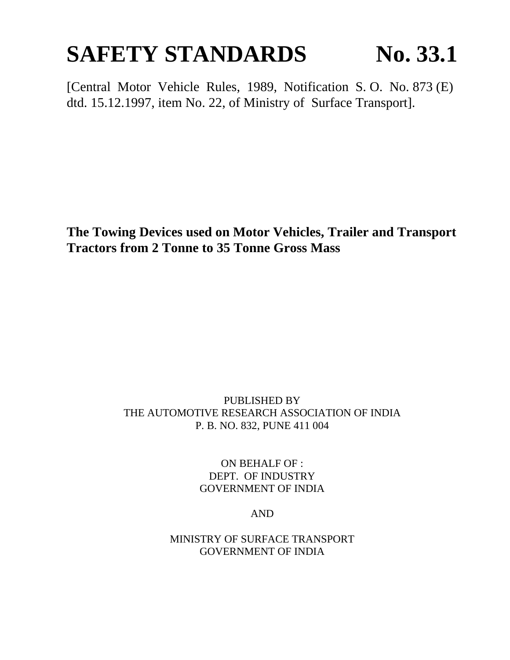# **SAFETY STANDARDS No. 33.1**

[Central Motor Vehicle Rules, 1989, Notification S. O. No. 873 (E) dtd. 15.12.1997, item No. 22, of Ministry of Surface Transport].

**The Towing Devices used on Motor Vehicles, Trailer and Transport Tractors from 2 Tonne to 35 Tonne Gross Mass**

## PUBLISHED BY THE AUTOMOTIVE RESEARCH ASSOCIATION OF INDIA P. B. NO. 832, PUNE 411 004

ON BEHALF OF : DEPT. OF INDUSTRY GOVERNMENT OF INDIA

AND

MINISTRY OF SURFACE TRANSPORT GOVERNMENT OF INDIA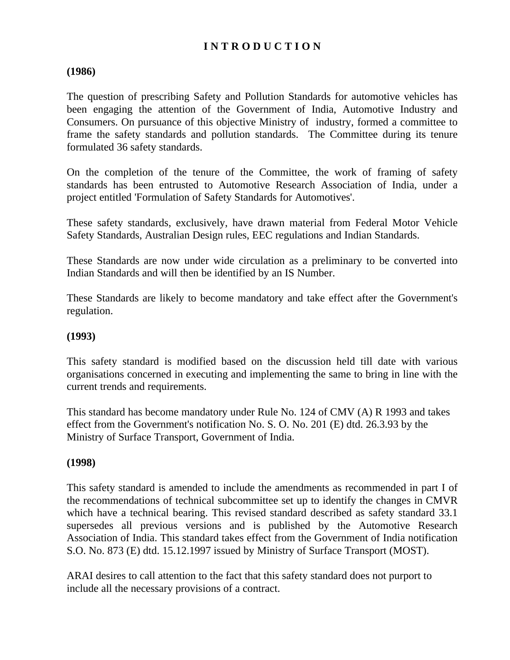# **I N T R O D U C T I O N**

#### **(1986)**

The question of prescribing Safety and Pollution Standards for automotive vehicles has been engaging the attention of the Government of India, Automotive Industry and Consumers. On pursuance of this objective Ministry of industry, formed a committee to frame the safety standards and pollution standards. The Committee during its tenure formulated 36 safety standards.

On the completion of the tenure of the Committee, the work of framing of safety standards has been entrusted to Automotive Research Association of India, under a project entitled 'Formulation of Safety Standards for Automotives'.

These safety standards, exclusively, have drawn material from Federal Motor Vehicle Safety Standards, Australian Design rules, EEC regulations and Indian Standards.

These Standards are now under wide circulation as a preliminary to be converted into Indian Standards and will then be identified by an IS Number.

These Standards are likely to become mandatory and take effect after the Government's regulation.

#### **(1993)**

This safety standard is modified based on the discussion held till date with various organisations concerned in executing and implementing the same to bring in line with the current trends and requirements.

This standard has become mandatory under Rule No. 124 of CMV (A) R 1993 and takes effect from the Government's notification No. S. O. No. 201 (E) dtd. 26.3.93 by the Ministry of Surface Transport, Government of India.

#### **(1998)**

This safety standard is amended to include the amendments as recommended in part I of the recommendations of technical subcommittee set up to identify the changes in CMVR which have a technical bearing. This revised standard described as safety standard 33.1 supersedes all previous versions and is published by the Automotive Research Association of India. This standard takes effect from the Government of India notification S.O. No. 873 (E) dtd. 15.12.1997 issued by Ministry of Surface Transport (MOST).

ARAI desires to call attention to the fact that this safety standard does not purport to include all the necessary provisions of a contract.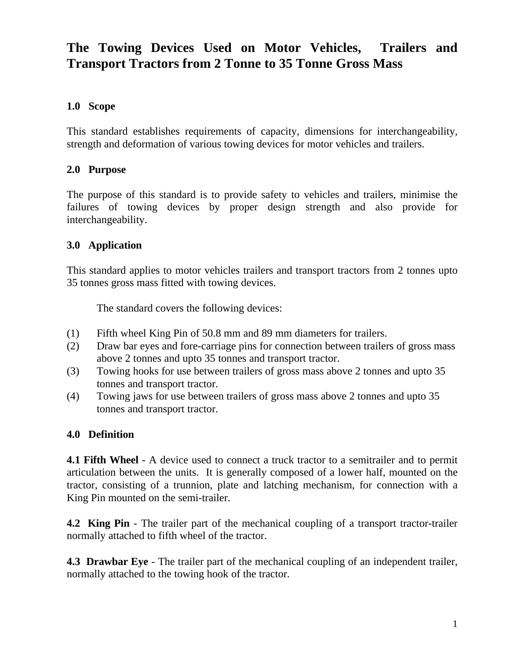# **The Towing Devices Used on Motor Vehicles, Trailers and Transport Tractors from 2 Tonne to 35 Tonne Gross Mass**

## **1.0 Scope**

This standard establishes requirements of capacity, dimensions for interchangeability, strength and deformation of various towing devices for motor vehicles and trailers.

#### **2.0 Purpose**

The purpose of this standard is to provide safety to vehicles and trailers, minimise the failures of towing devices by proper design strength and also provide for interchangeability.

#### **3.0 Application**

This standard applies to motor vehicles trailers and transport tractors from 2 tonnes upto 35 tonnes gross mass fitted with towing devices.

The standard covers the following devices:

- (1) Fifth wheel King Pin of 50.8 mm and 89 mm diameters for trailers.
- (2) Draw bar eyes and fore-carriage pins for connection between trailers of gross mass above 2 tonnes and upto 35 tonnes and transport tractor.
- (3) Towing hooks for use between trailers of gross mass above 2 tonnes and upto 35 tonnes and transport tractor.
- (4) Towing jaws for use between trailers of gross mass above 2 tonnes and upto 35 tonnes and transport tractor.

#### **4.0 Definition**

**4.1 Fifth Wheel** - A device used to connect a truck tractor to a semitrailer and to permit articulation between the units. It is generally composed of a lower half, mounted on the tractor, consisting of a trunnion, plate and latching mechanism, for connection with a King Pin mounted on the semi-trailer.

**4.2 King Pin** - The trailer part of the mechanical coupling of a transport tractor-trailer normally attached to fifth wheel of the tractor.

**4.3 Drawbar Eye** - The trailer part of the mechanical coupling of an independent trailer, normally attached to the towing hook of the tractor.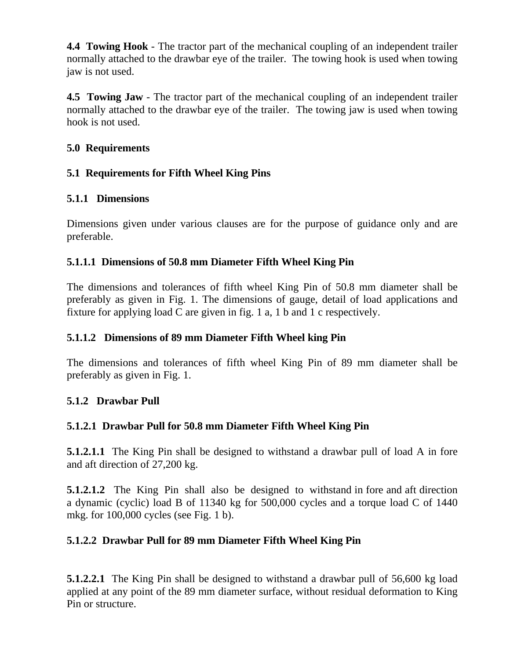**4.4 Towing Hook** - The tractor part of the mechanical coupling of an independent trailer normally attached to the drawbar eye of the trailer. The towing hook is used when towing jaw is not used.

**4.5 Towing Jaw** - The tractor part of the mechanical coupling of an independent trailer normally attached to the drawbar eye of the trailer. The towing jaw is used when towing hook is not used.

## **5.0 Requirements**

# **5.1 Requirements for Fifth Wheel King Pins**

# **5.1.1 Dimensions**

Dimensions given under various clauses are for the purpose of guidance only and are preferable.

# **5.1.1.1 Dimensions of 50.8 mm Diameter Fifth Wheel King Pin**

The dimensions and tolerances of fifth wheel King Pin of 50.8 mm diameter shall be preferably as given in Fig. 1. The dimensions of gauge, detail of load applications and fixture for applying load C are given in fig. 1 a, 1 b and 1 c respectively.

# **5.1.1.2 Dimensions of 89 mm Diameter Fifth Wheel king Pin**

The dimensions and tolerances of fifth wheel King Pin of 89 mm diameter shall be preferably as given in Fig. 1.

# **5.1.2 Drawbar Pull**

# **5.1.2.1 Drawbar Pull for 50.8 mm Diameter Fifth Wheel King Pin**

**5.1.2.1.1** The King Pin shall be designed to withstand a drawbar pull of load A in fore and aft direction of 27,200 kg.

**5.1.2.1.2** The King Pin shall also be designed to withstand in fore and aft direction a dynamic (cyclic) load B of 11340 kg for 500,000 cycles and a torque load C of 1440 mkg. for 100,000 cycles (see Fig. 1 b).

# **5.1.2.2 Drawbar Pull for 89 mm Diameter Fifth Wheel King Pin**

**5.1.2.2.1** The King Pin shall be designed to withstand a drawbar pull of 56,600 kg load applied at any point of the 89 mm diameter surface, without residual deformation to King Pin or structure.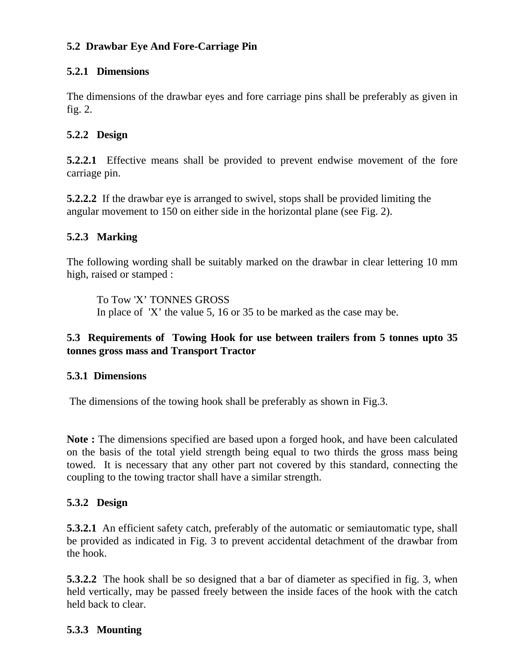## **5.2 Drawbar Eye And Fore-Carriage Pin**

#### **5.2.1 Dimensions**

The dimensions of the drawbar eyes and fore carriage pins shall be preferably as given in fig. 2.

#### **5.2.2 Design**

**5.2.2.1** Effective means shall be provided to prevent endwise movement of the fore carriage pin.

**5.2.2.2** If the drawbar eye is arranged to swivel, stops shall be provided limiting the angular movement to 150 on either side in the horizontal plane (see Fig. 2).

#### **5.2.3 Marking**

The following wording shall be suitably marked on the drawbar in clear lettering 10 mm high, raised or stamped :

To Tow 'X' TONNES GROSS In place of 'X' the value 5, 16 or 35 to be marked as the case may be.

#### **5.3 Requirements of Towing Hook for use between trailers from 5 tonnes upto 35 tonnes gross mass and Transport Tractor**

#### **5.3.1 Dimensions**

The dimensions of the towing hook shall be preferably as shown in Fig.3.

**Note :** The dimensions specified are based upon a forged hook, and have been calculated on the basis of the total yield strength being equal to two thirds the gross mass being towed. It is necessary that any other part not covered by this standard, connecting the coupling to the towing tractor shall have a similar strength.

#### **5.3.2 Design**

**5.3.2.1** An efficient safety catch, preferably of the automatic or semiautomatic type, shall be provided as indicated in Fig. 3 to prevent accidental detachment of the drawbar from the hook.

**5.3.2.2** The hook shall be so designed that a bar of diameter as specified in fig. 3, when held vertically, may be passed freely between the inside faces of the hook with the catch held back to clear.

#### **5.3.3 Mounting**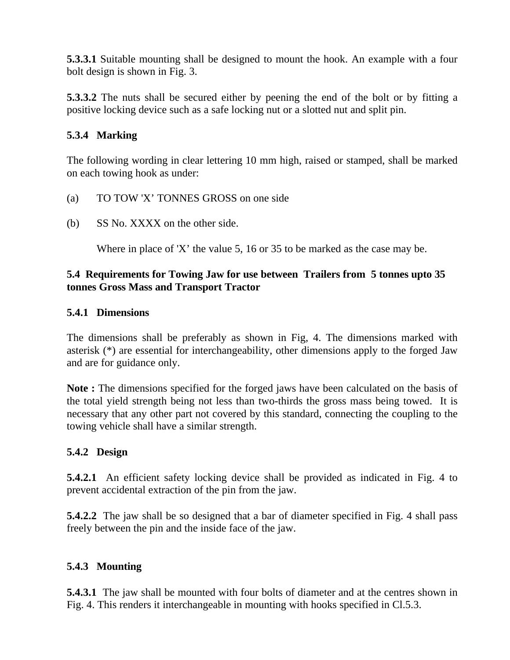**5.3.3.1** Suitable mounting shall be designed to mount the hook. An example with a four bolt design is shown in Fig. 3.

**5.3.3.2** The nuts shall be secured either by peening the end of the bolt or by fitting a positive locking device such as a safe locking nut or a slotted nut and split pin.

## **5.3.4 Marking**

The following wording in clear lettering 10 mm high, raised or stamped, shall be marked on each towing hook as under:

- (a) TO TOW 'X' TONNES GROSS on one side
- (b) SS No. XXXX on the other side.

Where in place of 'X' the value 5, 16 or 35 to be marked as the case may be.

#### **5.4 Requirements for Towing Jaw for use between Trailers from 5 tonnes upto 35 tonnes Gross Mass and Transport Tractor**

#### **5.4.1 Dimensions**

The dimensions shall be preferably as shown in Fig, 4. The dimensions marked with asterisk (\*) are essential for interchangeability, other dimensions apply to the forged Jaw and are for guidance only.

**Note :** The dimensions specified for the forged jaws have been calculated on the basis of the total yield strength being not less than two-thirds the gross mass being towed. It is necessary that any other part not covered by this standard, connecting the coupling to the towing vehicle shall have a similar strength.

#### **5.4.2 Design**

**5.4.2.1** An efficient safety locking device shall be provided as indicated in Fig. 4 to prevent accidental extraction of the pin from the jaw.

**5.4.2.2** The jaw shall be so designed that a bar of diameter specified in Fig. 4 shall pass freely between the pin and the inside face of the jaw.

#### **5.4.3 Mounting**

**5.4.3.1** The jaw shall be mounted with four bolts of diameter and at the centres shown in Fig. 4. This renders it interchangeable in mounting with hooks specified in Cl.5.3.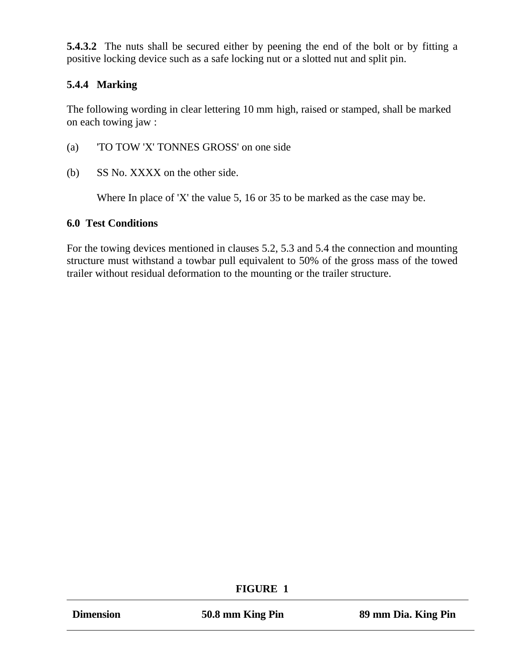**5.4.3.2** The nuts shall be secured either by peening the end of the bolt or by fitting a positive locking device such as a safe locking nut or a slotted nut and split pin.

## **5.4.4 Marking**

The following wording in clear lettering 10 mm high, raised or stamped, shall be marked on each towing jaw :

- (a) 'TO TOW 'X' TONNES GROSS' on one side
- (b) SS No. XXXX on the other side.

Where In place of 'X' the value 5, 16 or 35 to be marked as the case may be.

#### **6.0 Test Conditions**

For the towing devices mentioned in clauses 5.2, 5.3 and 5.4 the connection and mounting structure must withstand a towbar pull equivalent to 50% of the gross mass of the towed trailer without residual deformation to the mounting or the trailer structure.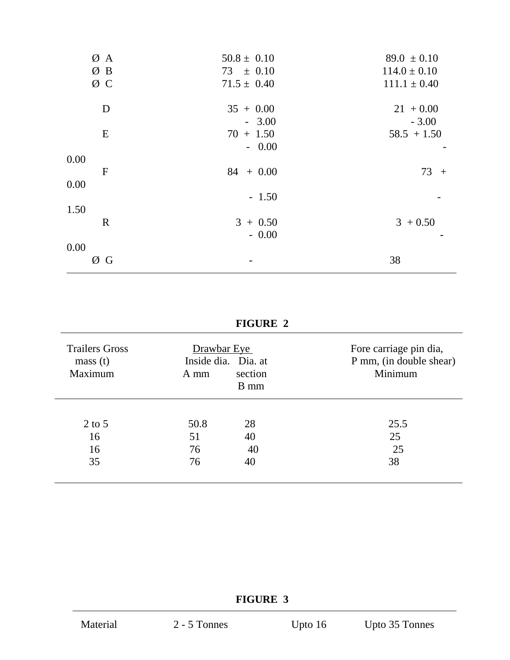| ØA           | $50.8 \pm 0.10$ | $89.0 \pm 0.10$  |
|--------------|-----------------|------------------|
| ØB           | $73 \pm 0.10$   | $114.0 \pm 0.10$ |
| ØС           | $71.5 \pm 0.40$ | $111.1 \pm 0.40$ |
| D            | $35 + 0.00$     | $21 + 0.00$      |
|              | $-3.00$         | $-3.00$          |
| E            | $70 + 1.50$     | $58.5 + 1.50$    |
|              | $-0.00$         |                  |
| 0.00         |                 |                  |
| $\mathbf{F}$ | $84 + 0.00$     | $73 +$           |
| 0.00         |                 |                  |
|              | $-1.50$         |                  |
| 1.50         |                 |                  |
| $\mathbf R$  | $3 + 0.50$      | $3 + 0.50$       |
|              | $-0.00$         |                  |
| 0.00         |                 |                  |
| ØG           |                 | 38               |
|              |                 |                  |

# **FIGURE 2**

| <b>Trailers Gross</b><br>mass(t)<br>Maximum | Drawbar Eye<br>A mm | Inside dia. Dia. at<br>section<br>B mm | Fore carriage pin dia,<br>P mm, (in double shear)<br>Minimum |
|---------------------------------------------|---------------------|----------------------------------------|--------------------------------------------------------------|
| $2$ to 5                                    | 50.8                | 28                                     | 25.5                                                         |
| 16                                          | 51                  | 40                                     | 25                                                           |
| 16                                          | 76                  | 40                                     | 25                                                           |
| 35                                          | 76                  | 40                                     | 38                                                           |

# **FIGURE 3**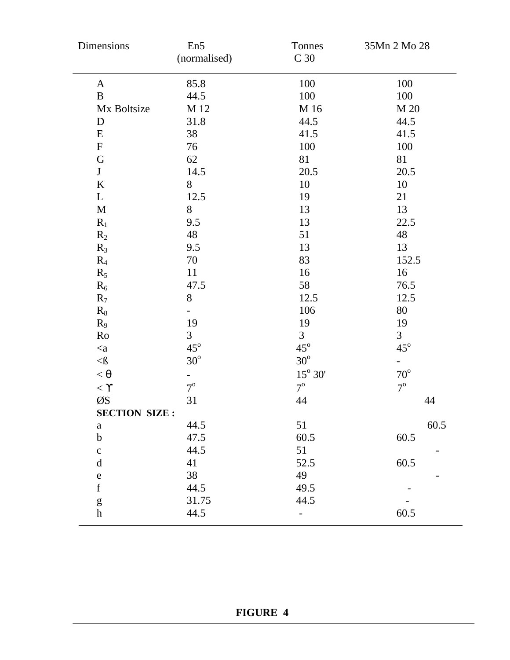| Dimensions           | En <sub>5</sub><br>(normalised) | Tonnes<br>C <sub>30</sub>  | 35Mn 2 Mo 28             |
|----------------------|---------------------------------|----------------------------|--------------------------|
| $\mathbf{A}$         | 85.8                            | 100                        | 100                      |
| B                    | 44.5                            | 100                        | 100                      |
| Mx Boltsize          | M 12                            | M 16                       | M 20                     |
| D                    | 31.8                            | 44.5                       | 44.5                     |
| E                    | 38                              | 41.5                       | 41.5                     |
| ${\bf F}$            | 76                              | 100                        | 100                      |
| ${\bf G}$            | 62                              | 81                         | 81                       |
| $\bf J$              | 14.5                            | 20.5                       | 20.5                     |
| $\bf K$              | 8                               | 10                         | 10                       |
| L                    | 12.5                            | 19                         | 21                       |
| $\mathbf M$          | 8                               | 13                         | 13                       |
| $R_1$                | 9.5                             | 13                         | 22.5                     |
| $R_2$                | 48                              | 51                         | 48                       |
| $R_3$                | 9.5                             | 13                         | 13                       |
| $R_4$                | 70                              | 83                         | 152.5                    |
| $R_5$                | 11                              | 16                         | 16                       |
| $R_6$                | 47.5                            | 58                         | 76.5                     |
| $R_7$                | $8\,$                           | 12.5                       | 12.5                     |
| $R_8$                | $\overline{\phantom{0}}$        | 106                        | 80                       |
| $R_9$                | 19                              | 19                         | 19                       |
| Ro                   | $\overline{3}$                  | $\overline{3}$             | $\overline{3}$           |
| $\mathord{<}a$       | $45^\circ$                      | $45^{\circ}$               | $45^\circ$               |
| $\triangleleft$      | $30^{\rm o}$                    | $30^\circ$                 | $\overline{\phantom{0}}$ |
| $< \theta$           | $\overline{\phantom{0}}$        | $15^{\circ}$ $30^{\prime}$ | $70^{\circ}$             |
| $< \Upsilon$         | $7^\circ$                       | $7^{\rm o}$                | $7^\circ$                |
| ØS                   | 31                              | 44                         | 44                       |
| <b>SECTION SIZE:</b> |                                 |                            |                          |
| $\rm{a}$             | 44.5                            | 51                         | 60.5                     |
| $\mathbf b$          | 47.5                            | 60.5                       | 60.5                     |
| $\mathbf{C}$         | 44.5                            | 51                         |                          |
| $\mathbf d$          | 41                              | 52.5                       | 60.5                     |
| ${\bf e}$            | 38                              | 49                         |                          |
| $\mathbf f$          | 44.5                            | 49.5                       |                          |
| ${\sf g}$            | 31.75                           | 44.5                       |                          |
| $\boldsymbol{h}$     | 44.5                            |                            | 60.5                     |

# **FIGURE 4**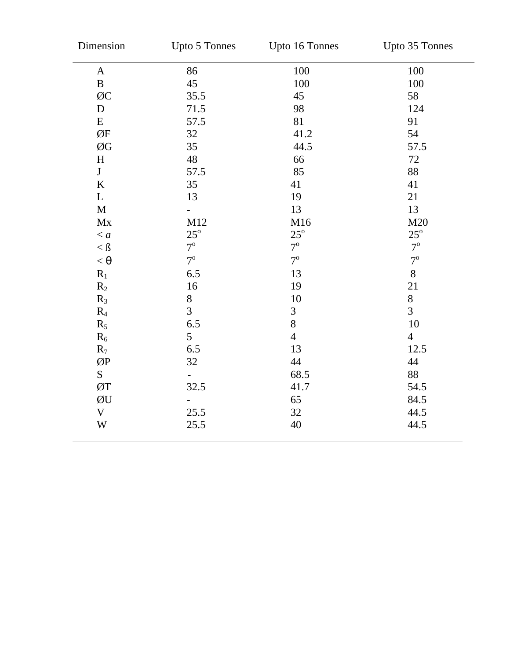| Dimension                      | Upto 5 Tonnes  | Upto 16 Tonnes | Upto 35 Tonnes |
|--------------------------------|----------------|----------------|----------------|
| $\mathbf{A}$                   | 86             | 100            | 100            |
| $\, {\bf B}$                   | 45             | 100            | 100            |
| ØC                             | 35.5           | 45             | 58             |
| ${\bf D}$                      | 71.5           | 98             | 124            |
| ${\bf E}$                      | 57.5           | 81             | 91             |
| ØF                             | 32             | 41.2           | 54             |
| ØG                             | 35             | 44.5           | 57.5           |
| $\boldsymbol{\mathrm{H}}$      | 48             | 66             | $72\,$         |
| J                              | 57.5           | 85             | 88             |
| K                              | 35             | 41             | 41             |
| $\mathbf L$                    | 13             | 19             | 21             |
| M                              |                | 13             | 13             |
| $\mathbf{M}\mathbf{x}$         | M12            | M16            | M20            |
| $\langle a$                    | $25^{\circ}$   | $25^{\circ}$   | $25^{\rm o}$   |
| $<\mbox{\ss }\mbox{\sc \rm S}$ | $7^{\rm o}$    | $7^{\rm o}$    | $7^{\rm o}$    |
| $< \theta$                     | $7^\circ$      | $7^{\circ}$    | $7^{\circ}$    |
| $R_1$                          | 6.5            | 13             | 8              |
| $R_2$                          | 16             | 19             | 21             |
| $R_3$                          | $8\,$          | $10\,$         | $8\,$          |
| $R_4$                          | $\overline{3}$ | 3              | $\overline{3}$ |
| $R_5$                          | 6.5            | 8              | 10             |
| $R_6$                          | 5              | $\overline{4}$ | $\overline{4}$ |
| $R_7$                          | 6.5            | 13             | 12.5           |
| ØP                             | 32             | 44             | 44             |
| S                              | -              | 68.5           | 88             |
| ØT                             | 32.5           | 41.7           | 54.5           |
| ØU                             |                | 65             | 84.5           |
| $\mathbf V$                    | 25.5           | 32             | 44.5           |
| W                              | 25.5           | 40             | 44.5           |